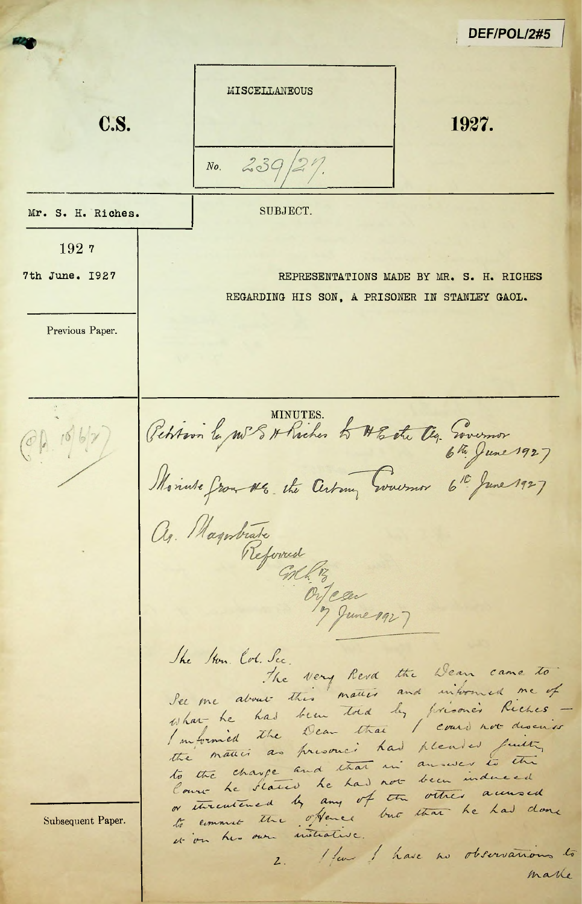DEF/POL/2#5 MISCELLANEOUS C.S. 1927.  $239$  $N_{\boldsymbol{0}}$ SUBJECT. Mr. S. H. Riches. 1927 7th June. 1927 REPRESENTATIONS MADE BY MR. S. H. RICHES REGARDING HIS SON, A PRISONER IN STANLEY GAOL. Previous Paper. Petition le me 8 A Richer to HEate Og. Sievernor  $(0, 100)$ Nointe partiale The Ston. Col. Sec. The very Revd the Dean came to See me about this matter and informed me of been told by prisoner Riches what he had I movemed the Dear that I could not describe the matter as presence had pleased futty answer to the to the charge and that in Cours Le States he had not been induced or streatened by any of the other accured to comment the offence but that he had done Subsequent Paper. it on his own initiative. 2. Henry I have no observations to marke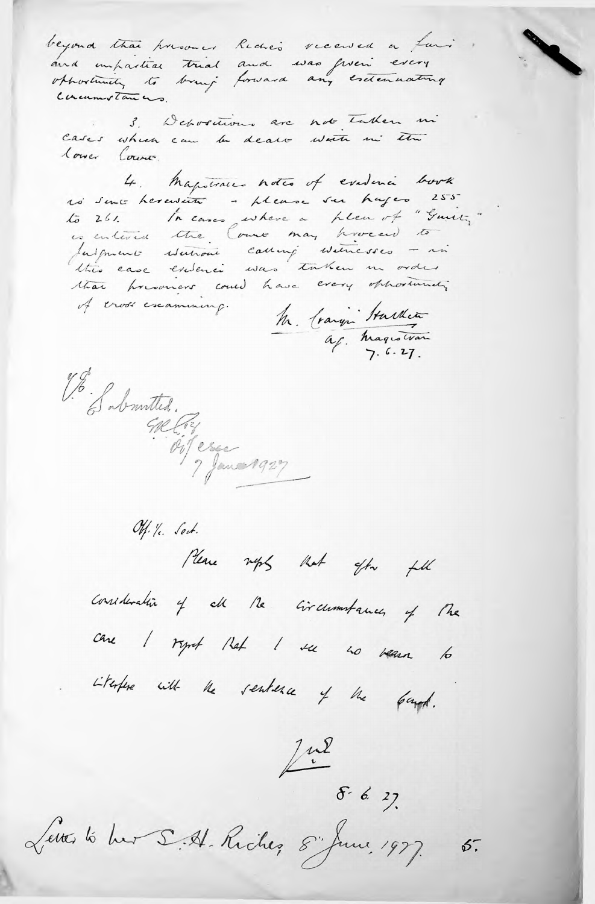beyond that presoner Reche's received a fair and unharities trial and was given every Concumstances.

3. Depositions are not taken in Cases which can be dealt water in the lower Cours.

4. Magistrales notes of evidence book no sent hereware - please sur hages 255 to 261. In cases where a plen of "Guin,"<br>is entered the Court may proceed to fulgment Matroni calling witnesses - in this case existence was taken in order that howevers could have every opportunity of cross escamining.

M. Craign Hardin<br>ap. Magistran

V. S. S. Soutted.

Off. Ye. Sect. Please neps that offer fill consideration of all the circumstances of the care I rynt that I see no venu to Literfere with the sentence of the fourt.

 $\frac{1}{2}$  or 6. 27.

Lettes to hur S. A. Riches, 8 June 1977.  $6.5$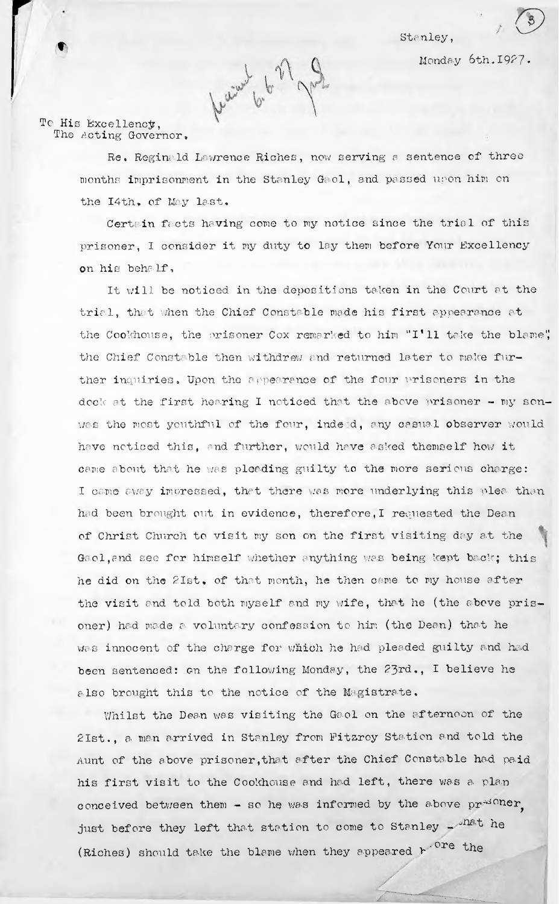Monday 6th.1927•



To His Excellency, The Acting Governor.

> Re. Reginald Lawrence Riches, now serving a sentence of three months imprisonment in the Stanley Gaol, and passed upon him on the I4th, of May last.

Certain facts having come to my notice since the trial of this prisoner, <sup>I</sup> consider it my duty to lay them before Your Excellency on his behalf,

It will be noticed in the depositions taken in the Court at the trial, that when the Chief Constable made his first appearance at the Cookhouse, the prisoner Cox remarked to him "I'll take the blame", the Chief Constable then withdrew and returned later to make further inquiries. Upon the appearance of the four vrisoners in the dock at the first hearing I noticed that the above prisoner - my sonwas the most youthful of the four, inde d, any casual observer would have noticed this, and further, would have asked themself how it came about that he was pleading guilty to the more serious charge: I came away impressed, that there was more underlying this plea- than had been brought out in evidence, therefore, I requested the Dean of Christ Church to visit my son on the first visiting day at the Gaol,and see for himself whether anything was being kept back; this he did on the 21st. of that month, he then came to my house after the visit and told both myself and my wife, that he (the abeve prisoner) had made a- voluntary confession to him (the Dean) that he was innocent of the charge for which he had pleaded guilty and had been sentenced: on the following Monday, the 23rd., I believe he also brought this to the notice of the Magistrate,

Whilst the Dean was visiting the Gaol on the afternoon of the 2Ist., a man arrived in Stanley from Fitzroy Station and told the Aunt of the above prisoner,that after the Chief Constable had paid his first visit to the Cookhouse and had left, there was a plan (Riches) should take the blame when they appeared  $k\cdot^{\texttt{Ore}}$  the conceived between them - so he was informed by the above  $pr^{-d}$  ner. just before they left that station to come to Stanley - nat he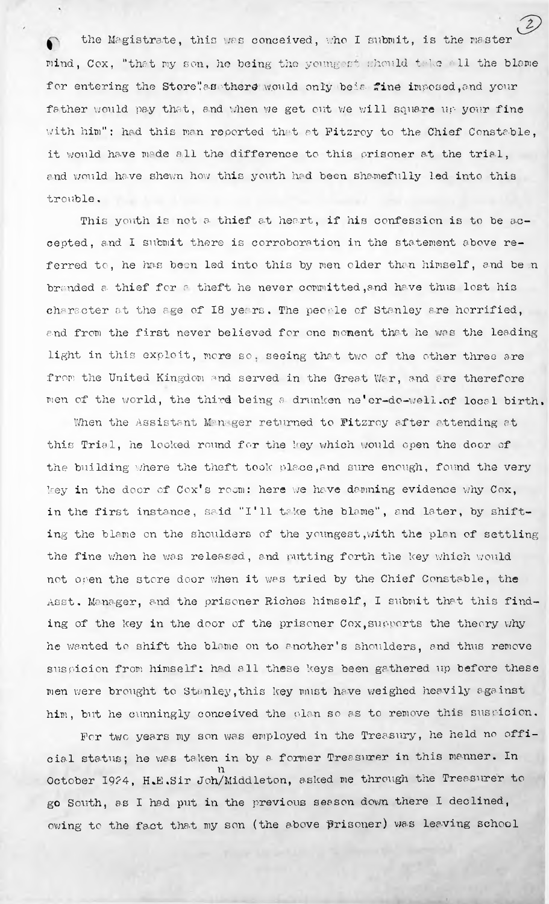the Magistrate, this was conceived, who I submit, is the master mind, Cox. "that my son, he being the youngest should take all the blame for entering the Store".as there would only beis fine imposed, and your father would pay that, and when we get out we will square up your fine with him": had this man reported that at Fitzroy to the Chief Constable, it would have made all the difference to this prisoner at the trial, and would have shewn how this youth had been shamefully led into this trouble.

This youth is not a thief at heart, if his confession is to be accepted, and I submit there is corroboration in the statement above referred to, he has been led into this by men older than himself, and be n branded a thief for a theft he never committed, and have thus lost his character at the age of 18 years. The people of Stanley are horrified, and from the first never believed for one moment that he was the leading light in this exploit, more so. seeing that two of the other three are from the United Kingdom and served in the Great War, and are therefore men of the world, the third being <sup>a</sup> drunken ne'er-do-well.of local birth.

When the Assistant Manager returned to Fitzroy after attending at this Trial, he looked round for the key which would open the door of the building where the theft took place, and sure enough, found the very key in the door of Cox's room: here we have damning evidence why Cox, in the first instance, said "I'll take the blame", and later, by shifting the blame on the shoulders of the youngest,with the plan of settling the fine when he was released, and putting forth the key which would not open the store door when it was tried by the Chief Constable, the Asst. Manager, and the prisoner Riches himself, I submit that this finding of the key in the door of the prisoner Cox, supports the theory why he wanted to shift the blame on to another's shoulders, and thus remove suspicion from himself: had all these keys been gathered up before these men were brought to Stanley,this key must have weighed heavily against him, but he cunningly conceived the plan so as to remove this suspicion.

For two years my son was employed in the Treasury, he held no official status; he was taken in by 8. former Treasurer in this manner. In n October 1924, H.E.Sir Joh/Middleton, asked me through the Treasurer to go South, as I had put in the previous season down there I declined, owing to the fact that my son (the above prisoner) was leaving school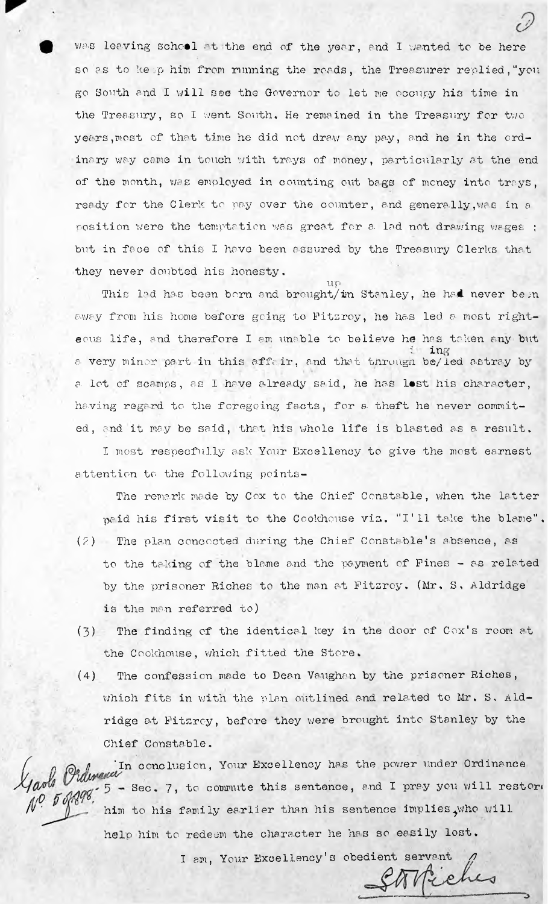was leaving school at the end of the year, and I wanted to be here so as to keep him from running the roads, the Treasurer replied, "you go South and I will see the Governor to let me occupy his time in the Treasury, so I went South, He remained in the Treasury for two years, most of that time he did not draw any pay, and he in the ordinary way came in touch with trays of money, particularly at the end of the month, was employed in counting out bags of money into treys, ready for the Clerk to pay over the counter, and generally,was in <sup>a</sup> position were the temptation was great for a lad not drawing wages ; but in face of this I have been assured by the Treasury Clerks that they never doubted his honesty.

away from his home before going to Fitzroy, he has led a most righta lot of scamps, as I have already said, he has lest his character, having regard to the foregoing facts, for a- theft he never commited, and it may be said, that his whole life is blasted as a result. up This lad has been born and brought/in Stanley, he had never be n ecus life, and therefore I am unable to believe he has taken any but  $\mathbf{m}$ a very minor part in this affair, and that through be/led astray by

<sup>I</sup> most respecfully ask Your Excellency to give the most earnest attention to the following points-

The remark made by Cox to the Chief Constable, when the latter paid his first visit to the Cookhouse viz. "I'll take the blame".

- $(2)$  The plan concocted during the Chief Constable's absence, as is the man referred to) to the taking of the blame and the payment of Pines - as related by the prisoner Riches to the man at Fitzroy. (Mr. S, Aldridge
- **(3)** The finding of the identical key in the door of Cox'<sup>s</sup> room at the Cookhouse, which fitted the Store.
- (4) The confession made to Dean Vaughan by the prisoner Riches, which fits in with the plan outlined and related to Mr. S< Aldridge at Fitzroy, before they were brought into Stanley by the Chief Constable.

 $\sqrt{\rho}$   $\sqrt{g}$   $\sqrt{g}$   $\sqrt{g}$   $\sqrt{g}$   $\sqrt{g}$   $\sqrt{g}$   $\sqrt{g}$   $\sqrt{g}$   $\sqrt{g}$   $\sqrt{g}$   $\sqrt{g}$   $\sqrt{g}$   $\sqrt{g}$   $\sqrt{g}$   $\sqrt{g}$   $\sqrt{g}$   $\sqrt{g}$   $\sqrt{g}$   $\sqrt{g}$   $\sqrt{g}$   $\sqrt{g}$   $\sqrt{g}$   $\sqrt{g}$   $\sqrt{g}$   $\sqrt{g}$   $\sqrt{g}$   $\sqrt{g$ help him to redeem the character he has so easily lost. *Chairmand* In conclusion, Your Excellency has the power under Ordinance him to his family earlier than his sentence implies<sub>.</sub>who will

I am, Your Excellency's obedient servant *fuelles*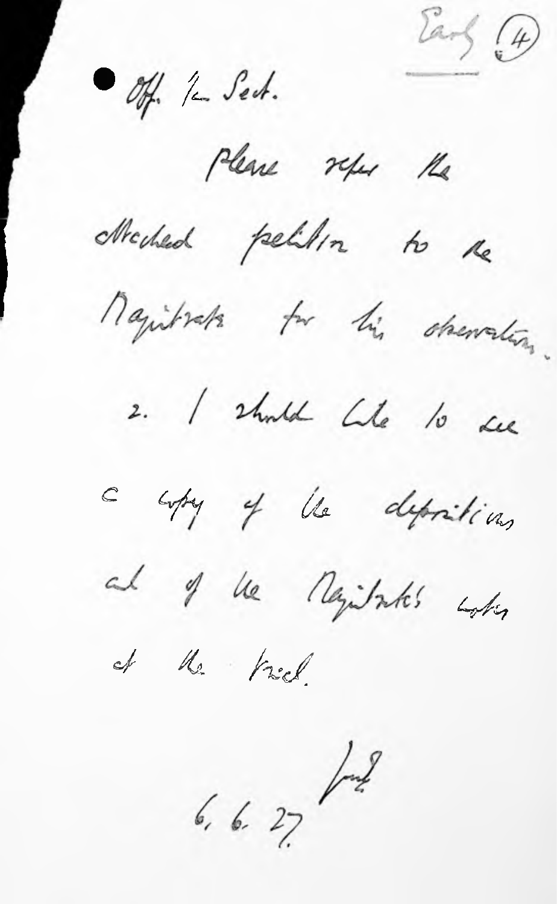Earl (4)

Off. 12 Sect.

Please refer the

Mechled pelilion to the

Majibrata to his observation.

2. I should like to see



a copy of the depositions

al of the negitates when

et the triel.

 $6.6.27$